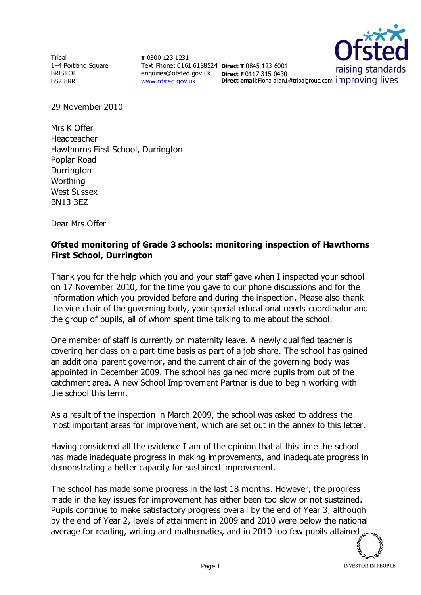Tribal 1–4 Portland Square BRISTOL BS2 8RR

**T** 0300 123 1231 Text Phone: 0161 6188524 **Direct T** 0845 123 6001 enquiries@ofsted.gov.uk **Direct F** 0117 315 0430 [www.ofsted.gov.uk](http://www.ofsted.gov.uk/)



29 November 2010

Mrs K Offer Headteacher Hawthorns First School, Durrington Poplar Road **Durrington Worthing** West Sussex BN13 3EZ

Dear Mrs Offer

## **Ofsted monitoring of Grade 3 schools: monitoring inspection of Hawthorns First School, Durrington**

Thank you for the help which you and your staff gave when I inspected your school on 17 November 2010, for the time you gave to our phone discussions and for the information which you provided before and during the inspection. Please also thank the vice chair of the governing body, your special educational needs coordinator and the group of pupils, all of whom spent time talking to me about the school.

One member of staff is currently on maternity leave. A newly qualified teacher is covering her class on a part-time basis as part of a job share. The school has gained an additional parent governor, and the current chair of the governing body was appointed in December 2009. The school has gained more pupils from out of the catchment area. A new School Improvement Partner is due to begin working with the school this term.

As a result of the inspection in March 2009, the school was asked to address the most important areas for improvement, which are set out in the annex to this letter.

Having considered all the evidence I am of the opinion that at this time the school has made inadequate progress in making improvements, and inadequate progress in demonstrating a better capacity for sustained improvement.

The school has made some progress in the last 18 months. However, the progress made in the key issues for improvement has either been too slow or not sustained. Pupils continue to make satisfactory progress overall by the end of Year 3, although by the end of Year 2, levels of attainment in 2009 and 2010 were below the national average for reading, writing and mathematics, and in 2010 too few pupils attained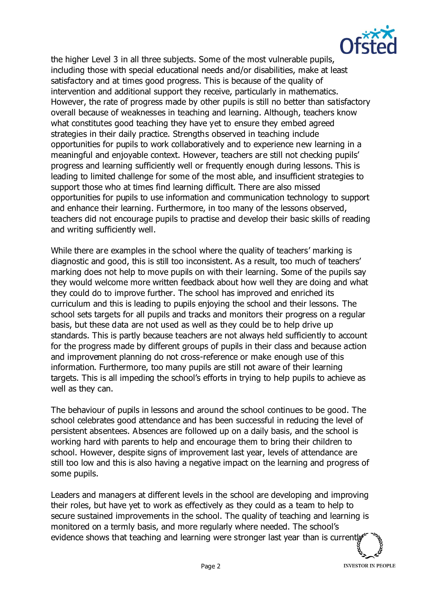

the higher Level 3 in all three subjects. Some of the most vulnerable pupils, including those with special educational needs and/or disabilities, make at least satisfactory and at times good progress. This is because of the quality of intervention and additional support they receive, particularly in mathematics. However, the rate of progress made by other pupils is still no better than satisfactory overall because of weaknesses in teaching and learning. Although, teachers know what constitutes good teaching they have yet to ensure they embed agreed strategies in their daily practice. Strengths observed in teaching include opportunities for pupils to work collaboratively and to experience new learning in a meaningful and enjoyable context. However, teachers are still not checking pupils' progress and learning sufficiently well or frequently enough during lessons. This is leading to limited challenge for some of the most able, and insufficient strategies to support those who at times find learning difficult. There are also missed opportunities for pupils to use information and communication technology to support and enhance their learning. Furthermore, in too many of the lessons observed, teachers did not encourage pupils to practise and develop their basic skills of reading and writing sufficiently well.

While there are examples in the school where the quality of teachers' marking is diagnostic and good, this is still too inconsistent. As a result, too much of teachers' marking does not help to move pupils on with their learning. Some of the pupils say they would welcome more written feedback about how well they are doing and what they could do to improve further. The school has improved and enriched its curriculum and this is leading to pupils enjoying the school and their lessons. The school sets targets for all pupils and tracks and monitors their progress on a regular basis, but these data are not used as well as they could be to help drive up standards. This is partly because teachers are not always held sufficiently to account for the progress made by different groups of pupils in their class and because action and improvement planning do not cross-reference or make enough use of this information. Furthermore, too many pupils are still not aware of their learning targets. This is all impeding the school's efforts in trying to help pupils to achieve as well as they can.

The behaviour of pupils in lessons and around the school continues to be good. The school celebrates good attendance and has been successful in reducing the level of persistent absentees. Absences are followed up on a daily basis, and the school is working hard with parents to help and encourage them to bring their children to school. However, despite signs of improvement last year, levels of attendance are still too low and this is also having a negative impact on the learning and progress of some pupils.

Leaders and managers at different levels in the school are developing and improving their roles, but have yet to work as effectively as they could as a team to help to secure sustained improvements in the school. The quality of teaching and learning is monitored on a termly basis, and more regularly where needed. The school's evidence shows that teaching and learning were stronger last year than is current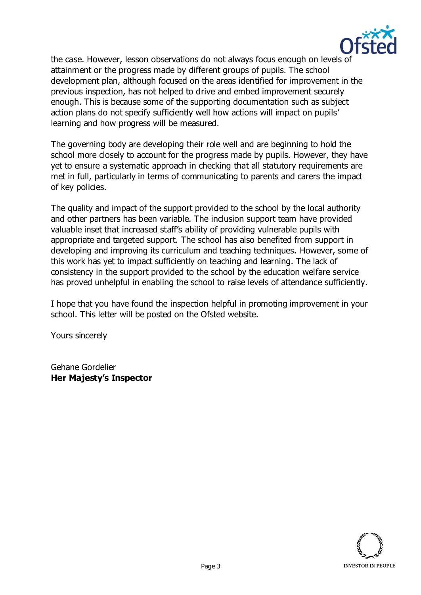

the case. However, lesson observations do not always focus enough on levels of attainment or the progress made by different groups of pupils. The school development plan, although focused on the areas identified for improvement in the previous inspection, has not helped to drive and embed improvement securely enough. This is because some of the supporting documentation such as subject action plans do not specify sufficiently well how actions will impact on pupils' learning and how progress will be measured.

The governing body are developing their role well and are beginning to hold the school more closely to account for the progress made by pupils. However, they have yet to ensure a systematic approach in checking that all statutory requirements are met in full, particularly in terms of communicating to parents and carers the impact of key policies.

The quality and impact of the support provided to the school by the local authority and other partners has been variable. The inclusion support team have provided valuable inset that increased staff's ability of providing vulnerable pupils with appropriate and targeted support. The school has also benefited from support in developing and improving its curriculum and teaching techniques. However, some of this work has yet to impact sufficiently on teaching and learning. The lack of consistency in the support provided to the school by the education welfare service has proved unhelpful in enabling the school to raise levels of attendance sufficiently.

I hope that you have found the inspection helpful in promoting improvement in your school. This letter will be posted on the Ofsted website.

Yours sincerely

Gehane Gordelier **Her Majesty's Inspector**